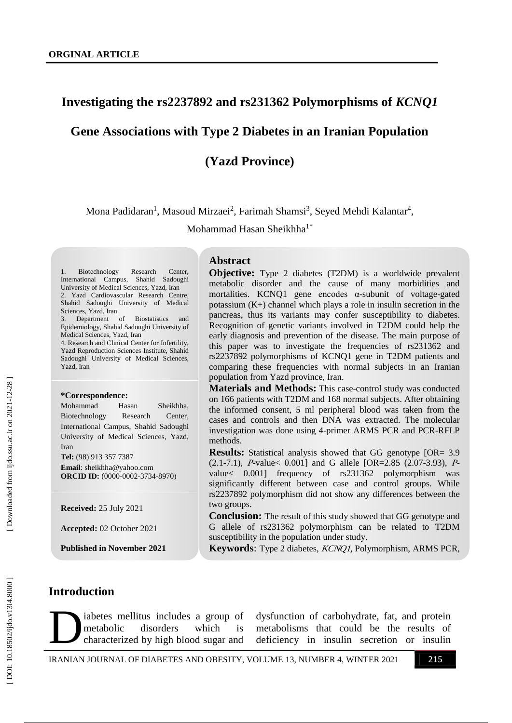# **Investigating the rs2237892 and rs231362 Polymorphisms of** *KCNQ1*

# **Gene Associations with Type 2 Diabetes in an Iranian Population**

**(Yazd Province)**

Mona Padidaran<sup>1</sup>, Masoud Mirzaei<sup>2</sup>, Farimah Shamsi<sup>3</sup>, Seyed Mehdi Kalantar<sup>4</sup>,

Mohammad Hasan Sheikhha<sup>1\*</sup>

Biotechnology Research Center, International Campus, Shahid Sadoughi University of Medical Sciences, Yazd, Iran 2. Yazd Cardiovascular Research Centre, Shahid Sadoughi University of Medical Sciences, Yazd, Iran

Department of Biostatistics and Epidemiology, Shahid Sadoughi University of Medical Sciences, Yazd, Iran

4. Research and Clinical Center for Infertility, Yazd Reproduction Sciences Institute, Shahid Sadoughi University of Medical Sciences, Yazd, Iran

#### **\*Correspondence:**

Mohammad Hasan Sheikhha. Biotechnology Research Center, International Campus, Shahid Sadoughi University of Medical Sciences, Yazd, Iran

**Tel:**  (98) 913 357 7387 **Email**: sheikhha@yahoo.com ORCID ID: (0000-0002-3734-8970)

**Received:** 25 July 2021

**Accepted:** 02 October 2021

**Published in November 2021**

#### **Abstract**

**Objective:** Type 2 diabetes (T2DM) is a worldwide prevalent metabolic disorder and the cause of many morbidities and mortalities. KCNQ1 gene encodes  $\alpha$ -subunit of voltage-gated potassium (K+) channel which plays a role in insulin secretion in the pancreas, thus its variants may confer susceptibility to diabetes. Recognition of genetic variants involved in T2DM could help the early diagnosis and prevention of the disease. The main purpose of this paper was to investigate the frequencies of rs231362 and rs2237892 polymorphisms of KCNQ1 gene in T2DM patients and comparing these frequencies with normal subjects in an Iranian population from Yazd province, Iran.

**Materials and Methods :** This case -control study was conducted on 166 patients with T2DM and 168 normal subjects. After obtaining the informed consent, 5 ml peripheral blood was taken from the cases and controls and then DNA was extracted. The molecular investigation was done using 4 -primer ARMS PCR and PCR -RFLP methods.

**Results:** Statistical analysis showed that GG genotype [OR= 3.9] (2.1-7.1), *P*-value < 0.001] and G allele [OR=2.85 (2.07-3.93), *P*value< 0.001] frequency of rs231362 polymorphism was significantly different between case and control groups. While rs2237892 polymorphism did not show any differences between the two groups.

**Conclusion :** The result of this study showed that GG genotype and G allele of rs231362 polymorphism can be related to T2DM susceptibility in the population under study.

**Keywords**: Type 2 diabetes, KCNQ1, Polymorphism, ARMS PCR,

# Introduction

iabetes mellitus includes a group of metabolic disorders which is characterized by high blood sugar and abetes mellitus includes a group of dysfunction of carbohydrate, fat, and protein metabolic disorders which is metabolisms that could be the results of characterized by high blood sugar and deficiency in insulin secretion

dysfunction of carbohydrate, fat, and protein metabolisms that could be the results of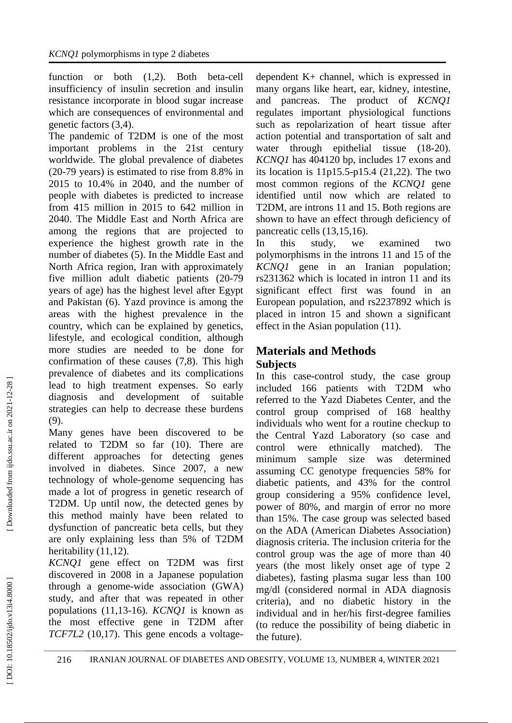function or both  $(1,2)$ . Both beta-cell insufficiency of insulin secretion and insulin resistance incorporate in blood suga r increase which are consequences of environmental and genetic factors (3,4) .

The pandemic of T2DM is one of the most important problems in the 21st century worldwide. The global prevalence of diabetes (20 -79 years) is estimated to rise from 8.8% in 2015 to 10.4% in 2040, and the number of people with diabetes is predicted to increase from 415 million in 2015 to 642 million in 2040. The Middle East and North Africa are amon g the regions that are projected to experience the highest growth rate in the number of diabetes (5) . In the Middle East and North Africa region, Iran with approximately five million adult diabetic patients (20 -79 years o f age) has the highest level after Egypt and Pakistan (6) . Yazd province is among the areas with the highest prevalence in the country, which can be explained by genetics, lifestyle, and ecological condition, although more studies are needed to be done for confirmation of these causes (7,8) . This high prevalence of diabetes and its complications lead to high treatment expenses. So early diagnosis and development of suitable strategies can help to decrease these burdens (9) .

Many genes have been discovered to be related to T2DM so far (10) . There are different approaches for detecting genes involved in diabetes. Since 2007, a new technology of whole -genome sequencing has made a lot of progress in genetic research of T2DM. Up until now, the detected genes by this method mainly have been related to dysfunction of pancreatic beta cells, but they are only explaining less than 5% of T2DM heritability (11,12).

*KCNQ1* gene effect on T2DM was first discovered in 2008 in a Japanese population through a genome -wide association (GWA) study, and after that was repeated in other populations (11,13 -16) . *KCNQ1* is known as the most effective gene in T2DM after TCF7L2 (10,17). This gene encods a voltagedependent K+ channel, which is expressed in many organs like heart, ear, kidney, intestine, and pancreas. The product of *KCNQ1* regulates important physiological functions such as repolarization of heart tissue after action potential and transportation of salt and water through epithelial tissue (18-20). *KCNQ1* has 404120 bp, includes 17 exons and its location is 11p15.5 -p15.4 (21,22) . The two most common regions of the *KCNQ1* gene identified until now which are related to T2DM, are introns 11 and 15. Both regions are shown to have an effect through deficiency of pancreatic cells (13,15,16) .

In this study, we examined two polymorphisms in the introns 11 and 15 of the *KCNQ1* gene in an Iranian population; rs231362 which is located in intron 11 and its significant effect first was found in an European population, and rs2237892 which is placed in intron 15 and shown a significant effect in the Asian population (11) .

# **Materials and Methods Subjects**

In this case -control study, the case group included 166 patients with T2DM who referred to the Yazd Diabetes Center, and the control group comprised of 168 healthy individuals who went for a routine checkup to the Central Yazd Laboratory (so case and control were ethnically matched). The minimum sample size was determined assuming CC genotype frequencies 58% for diabetic patients, and 43% for the control group considering a 95% confidence level, power of 80%, and margin of error no more than 15%. The case group was selected based on the ADA (American Diabetes Association) diagnosis criteria. The inclusion criteria for the control group was the age of more than 40 years (the most likely onset age of type 2 diabetes), fasting plasma sugar less than 100 mg/dl (considered normal in ADA diagnosis criteria), and no diabetic history in the individual and in her/his first -degree families (to reduce the possibility of being diabetic in the future).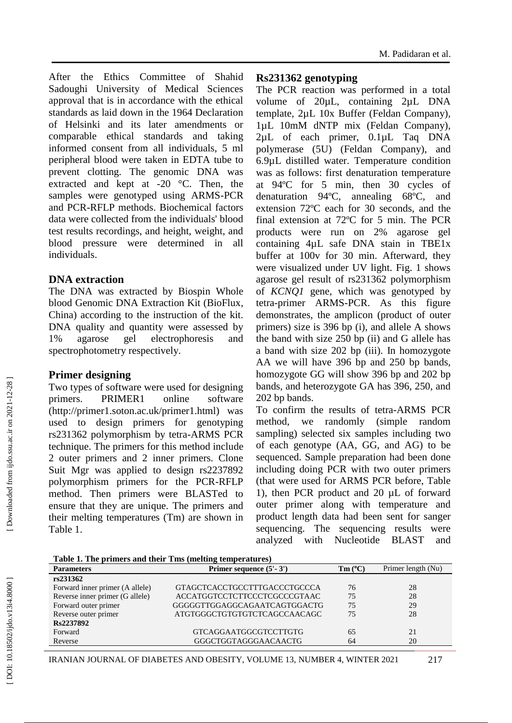After the Ethics Committee of Shahid Sadoughi University of Medical Sciences approval that is in accordance with the ethical standards as laid down in the 1964 Declaration of Helsinki and its later amendments or comparable ethical standards and taking informed consent from all individuals, 5 ml peripheral blood were taken in EDTA tube to prevent clotting. The genomic DNA was extracted and kept at  $-20$  °C. Then, the samples were genotyped using ARMS -PCR and PCR -RFLP methods. Biochemical factors data were collected from the individuals' blood test results recordings, and height, weight, and blood pressure were determined in individuals.

### **DNA extraction**

The DNA was extracted by Biospin Whole blood Genomic DNA Extraction Kit (BioFlux, China) according to the instruction of the kit. DNA quality and quantity were assessed by 1% agarose gel electrophoresis and spectrophotometry respectively.

# **Primer designing**

Two types of software were used for designing primers. PRIMER1 online software (http://primer1.soton.ac.uk/primer1.html) was used to design primers for genotyping rs231362 polymorphism by tetra -ARMS PCR technique. The primers for this method include 2 outer primers and 2 inner primers. Clone Suit Mgr was applied to design rs2237892 polymorphism primers for the PCR -RFLP method. Then primers were BLASTed to ensure that they are unique. The primers and their melting temperatures (Tm) are shown in Table 1.

# **Rs231362 genotyping**

The PCR reaction was performed in a total volume of 20µL, containing 2µL DNA template, 2µL 10x Buffer (Feldan Company), 1µL 10mM dNTP mix (Feldan Company), 2µL of each primer, 0.1µL Taq DNA polymerase (5U) (Feldan Company), and 6.9µL distilled water. Temperature condition was as follows: first denaturation temperature at 94ºC for 5 min, then 30 cycles of denaturation 94ºC, annealing 68ºC, and extension 72ºC each for 30 seconds, and the final extension at 72ºC for 5 min. The PCR products were run on 2% agarose gel containing 4µL safe DNA stain in TBE1x buffer at 100v for 30 min. Afterward, they were visualized under UV light. Fig. 1 shows agarose gel result of rs231362 polymorphism of *KCNQ1* gene, which was genotyped by tetr a -primer ARMS -PCR. As this figure demonstrates, the amplicon (product of outer primers) size is 396 bp (i), and allele A shows the band with size 250 bp (ii) and G allele has a band with size 202 bp (iii). In homozygote AA we will have 396 bp and 250 bp bands, homozygote GG will show 396 bp and 202 bp bands, and heterozygote GA has 396, 250, and 202 bp bands.

To confirm the results of tetra -ARMS PCR method, we randomly (simple random sampling) selected six samples including two of each genotype (AA, GG, and AG) to be sequenced. Sample preparation had been done including doing PCR with two outer primers (that were used for ARMS PCR before, Table 1), then PCR product and 20 µL of forward outer primer along with temperature and product length data had been sent for sanger sequencing. The sequencing results were analyzed with Nucleotide BLAST and

|                                 | Table 1. The primers and their Tms (melting temperatures) |                 |                    |  |  |
|---------------------------------|-----------------------------------------------------------|-----------------|--------------------|--|--|
| <b>Parameters</b>               | Primer sequence $(5'-3')$                                 | $Tm(^{\circ}C)$ | Primer length (Nu) |  |  |
| rs231362                        |                                                           |                 |                    |  |  |
| Forward inner primer (A allele) | GTAGCTCACCTGCCTTTGACCCTGCCCA                              | 76              | 28                 |  |  |
| Reverse inner primer (G allele) | ACCATGGTCCTCTTCCCTCGCCCGTAAC                              | 75              | 28                 |  |  |
| Forward outer primer            | GGGGGTTGGAGGCAGAATCAGTGGACTG                              | 75              | 29                 |  |  |
| Reverse outer primer            | ATGTGGGCTGTGTGTCTCAGCCAACAGC                              | 75              | 28                 |  |  |
| Rs2237892                       |                                                           |                 |                    |  |  |
| Forward                         | GTCAGGAATGGCGTCCTTGTG                                     | 65              | 21                 |  |  |
| Reverse                         | GGGCTGGTAGGGAACAACTG                                      | 64              | 20                 |  |  |
|                                 |                                                           |                 |                    |  |  |

IRANIAN JOURNAL OF DIABETES AND OBESITY, VOLUME 13, NUMBER 4, WINTER 2021 217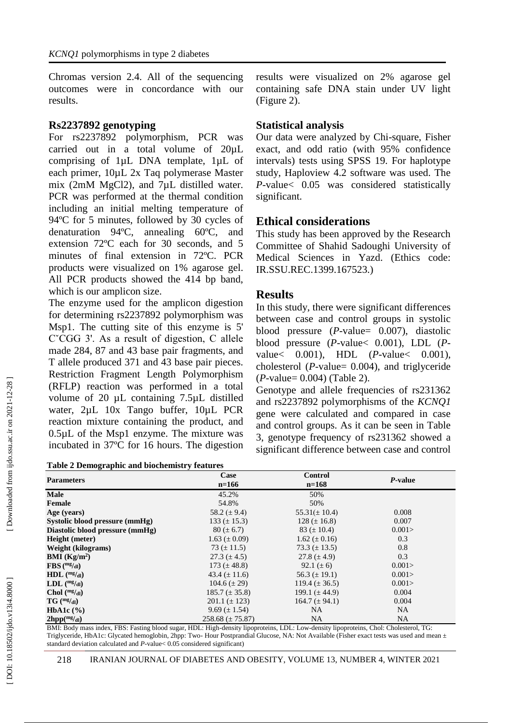Chromas version 2.4. All of the sequencing outcomes were in concordance with our results.

#### **Rs2237892 genotyping**

For rs2237892 polymorphism, PCR was carried out in a total volume of 20µL comprising of 1µL DNA template, 1µL of each primer, 10µL 2x Taq polymerase Master mix (2mM MgCl2), and 7µL distilled water. PCR was performed at the thermal condition including an initial melting temperature of 94ºC for 5 minutes, followed by 30 cycles of denaturation 94ºC, annealing 60ºC, and extension 72ºC each for 30 seconds, and 5 minutes of final extension in 72ºC. PCR products were visualized on 1% agarose gel. All PCR products showed the 414 bp band, which is our amplicon size.

The enzyme used for the amplicon digestion for determining rs2237892 polymorphism was Msp1. The cutting site of this enzyme is 5' CˇCGG 3'. As a result of digestion, C allele made 284, 87 and 43 base pair fragments, and T allele produced 371 and 43 base pair pieces. Restriction Fragment Length Polymorphism (RFLP) reaction was performed in a total volume of 20 µL containing 7.5µL distilled water, 2µL 10x Tango buffer, 10µL PCR reaction mixture containing the product, and 0.5µL of the Msp1 enzyme. The mixture was incubated in 37ºC for 16 hours. The digestion

| <b>Table 2 Demographic and biochemistry features</b> |  |  |
|------------------------------------------------------|--|--|
|                                                      |  |  |

results were visualized on 2% agarose gel containing safe DNA stain under UV light (Figure 2).

#### **Statistical analysis**

Our data were analyzed by Chi -square, Fisher exact, and odd ratio (with 95% confidence intervals) tests using SPSS 19. For haplotype study, Haploview 4.2 software was used. The *P*-value< 0.05 was considered statistically significant.

### **Ethical considerations**

This study has been approved by the Research Committee of Shahid Sadoughi University of Medical Sciences in Yazd. (Ethics code: IR.SSU.REC.139 9.167523.)

#### **Results**

In this study, there were significant differences between case and control groups in systolic blood pressure ( *P* -value= 0.007), diastolic blood pressure ( *P* -value< 0.001), LDL ( *P* value< 0.001), HDL ( *P* -value< 0.001), cholesterol ( *P* -value= 0.004), and triglyceride ( *P* -value= 0.004) (Table 2).

Genotype and allele frequencies of rs231362 and rs2237892 polymorphisms of the *KCNQ1* gene were calculated and compared in case and control groups. As it can be seen in Table 3, genotype frequency of rs231362 showed a significant difference between case and control

| <b>Table 2 Demographic and biochemistry features</b> |                        |                           |           |  |  |  |  |
|------------------------------------------------------|------------------------|---------------------------|-----------|--|--|--|--|
| <b>Parameters</b>                                    | Case<br>$n=166$        | <b>Control</b><br>$n=168$ | P-value   |  |  |  |  |
| <b>Male</b>                                          | 45.2%                  | 50%                       |           |  |  |  |  |
| Female                                               | 54.8%                  | 50%                       |           |  |  |  |  |
| Age (years)                                          | 58.2 ( $\pm$ 9.4)      | $55.31(\pm 10.4)$         | 0.008     |  |  |  |  |
| Systolic blood pressure (mmHg)                       | $133 (\pm 15.3)$       | $128 (\pm 16.8)$          | 0.007     |  |  |  |  |
| Diastolic blood pressure (mmHg)                      | $80 (\pm 6.7)$         | 83 ( $\pm$ 10.4)          | 0.001     |  |  |  |  |
| Height (meter)                                       | $1.63 \ (\pm 0.09)$    | $1.62 \ (\pm 0.16)$       | 0.3       |  |  |  |  |
| Weight (kilograms)                                   | 73 ( $\pm$ 11.5)       | 73.3 $(\pm 13.5)$         | 0.8       |  |  |  |  |
| <b>BMI</b> ( $\text{Kg/m}^2$ )                       | 27.3 $(\pm 4.5)$       | 27.8 $(\pm 4.9)$          | 0.3       |  |  |  |  |
| $\text{FBS}$ (mg/dl)                                 | 173 $(\pm 48.8)$       | 92.1 $(\pm 6)$            | 0.001 >   |  |  |  |  |
| $HDL$ (mg/dl)                                        | 43.4 $(\pm 11.6)$      | 56.3 $(\pm 19.1)$         | 0.001     |  |  |  |  |
| $LDL$ (mg/dl)                                        | $104.6 (\pm 29)$       | 119.4 ( $\pm$ 36.5)       | 0.001     |  |  |  |  |
| Chol $(mg/d)$                                        | $185.7 (\pm 35.8)$     | 199.1 $(\pm 44.9)$        | 0.004     |  |  |  |  |
| $TG \, (mg/d)$                                       | $201.1 (\pm 123)$      | $164.7 (\pm 94.1)$        | 0.004     |  |  |  |  |
| HbA1c $(\%)$                                         | $9.69 \ (\pm 1.54)$    | NA.                       | <b>NA</b> |  |  |  |  |
| 2 <sup>hpp(mg/dl)</sup>                              | $258.68 \ (\pm 75.87)$ | NA                        | <b>NA</b> |  |  |  |  |

BMI: Body mass index, FBS: Fasting blood sugar, HDL: High -density lipoproteins, LDL: Low -density lipoproteins, Chol: Cholesterol, TG: Triglyceride, HbA1c: Glycated hemoglobin, 2hpp: Two- Hour Postprandial Glucose, NA: Not Available (Fisher exact tests was used and mean  $\pm$ standard deviation calculated and *P* -value< 0.05 considered significant)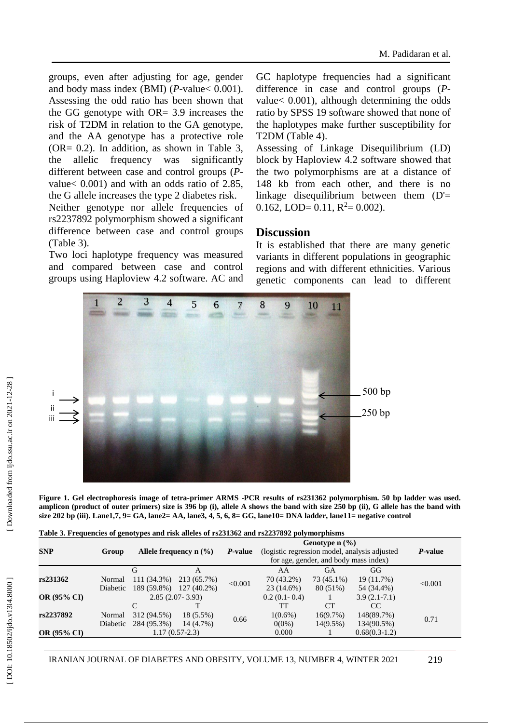groups, even after adjusting for age, gender and body mass index (BMI) (*P*-value < 0.001). Assessing the odd ratio has been shown that the GG genotype with OR= 3.9 increases the risk of T2DM in relation to the GA genotype, and the AA genotype has a protective role (OR= 0.2). In addition, as shown in Table 3, the allelic frequency was significantly different between case and control groups ( *P* value< 0.001) and with an odds ratio of 2.85, the G allele increases the type 2 diabetes risk.

Neither genotype nor allele frequencies of rs2237892 polymorphism showed a significant difference between case and control groups (Table 3).

Two loci haplotype frequency was measured and compared between case and control groups using Haploview 4.2 software. AC and GC haplotype frequencies had a significant difference in case and control groups ( *P* value< 0.001), although determining the odds ratio by SPSS 19 software showed that none of the haplotypes make further susceptibility for T2DM (Table 4).

Assessing of Linkage Disequilibrium (LD) block by Haploview 4.2 software showed that the two polymorphisms are at a distance of 148 kb from each other, and there is no linkage disequilibrium between them (D'= 0.162, LOD= 0.11,  $R^2 = 0.002$ ).

#### **Discussion**

It is established that there are many genetic variants in different populations in geographic regions and with different ethnicities. Various genetic components can lead to different



|  | Table 3. Frequencies of genotypes and risk alleles of rs231362 and rs2237892 polymorphisms |  |  |
|--|--------------------------------------------------------------------------------------------|--|--|
|  |                                                                                            |  |  |

| ij                 |                    |                                      |                                                        |         |                                                                                                                                                                                                                      |                                     | 500bp<br>250bp                                                                                                    |                                                                                                                                                                                                                                                             |
|--------------------|--------------------|--------------------------------------|--------------------------------------------------------|---------|----------------------------------------------------------------------------------------------------------------------------------------------------------------------------------------------------------------------|-------------------------------------|-------------------------------------------------------------------------------------------------------------------|-------------------------------------------------------------------------------------------------------------------------------------------------------------------------------------------------------------------------------------------------------------|
|                    |                    |                                      |                                                        |         |                                                                                                                                                                                                                      |                                     |                                                                                                                   |                                                                                                                                                                                                                                                             |
|                    |                    |                                      |                                                        |         |                                                                                                                                                                                                                      |                                     | size 202 bp (iii). Lane1,7, 9= GA, lane2= AA, lane3, 4, 5, 6, 8= GG, lane10= DNA ladder, lane11= negative control | Figure 1. Gel electrophoresis image of tetra-primer ARMS -PCR results of rs231362 polymorphism. 50 bp ladder was used.<br>amplicon (product of outer primers) size is 396 bp (i), allele A shows the band with size 250 bp (ii), G allele has the band with |
| <b>SNP</b>         | Group              |                                      | Allele frequency $n$ (%)                               | P-value | Table 3. Frequencies of genotypes and risk alleles of rs231362 and rs2237892 polymorphisms<br>Genotype $n$ $(\frac{9}{6})$<br>(logistic regression model, analysis adjusted<br>for age, gender, and body mass index) |                                     |                                                                                                                   | P-value                                                                                                                                                                                                                                                     |
| rs231362           | Normal<br>Diabetic | G<br>$111(34.3\%)$                   | $\mathbf{A}$<br>213 (65.7%)<br>189 (59.8%) 127 (40.2%) | < 0.001 | AA<br>70 (43.2%)<br>23 (14.6%)                                                                                                                                                                                       | <b>GA</b><br>73 (45.1%)<br>80 (51%) | GG<br>19 (11.7%)<br>54 (34.4%)                                                                                    | < 0.001                                                                                                                                                                                                                                                     |
| <b>OR (95% CI)</b> |                    | C                                    | $2.85(2.07 - 3.93)$<br>т                               |         | $0.2(0.1-0.4)$<br>TT                                                                                                                                                                                                 | 1<br><b>CT</b>                      | $3.9(2.1-7.1)$<br>CC                                                                                              |                                                                                                                                                                                                                                                             |
| rs2237892          | Normal<br>Diabetic | 312 (94.5%)<br>284 (95.3%) 14 (4.7%) | 18 (5.5%)                                              | 0.66    | $1(0.6\%)$<br>$0(0\%)$                                                                                                                                                                                               | 16(9.7%)<br>$14(9.5\%)$             | 148(89.7%)<br>134(90.5%)                                                                                          | 0.71                                                                                                                                                                                                                                                        |
| <b>OR</b> (95% CI) |                    |                                      | $1.17(0.57-2.3)$                                       |         | 0.000                                                                                                                                                                                                                |                                     | $0.68(0.3-1.2)$                                                                                                   |                                                                                                                                                                                                                                                             |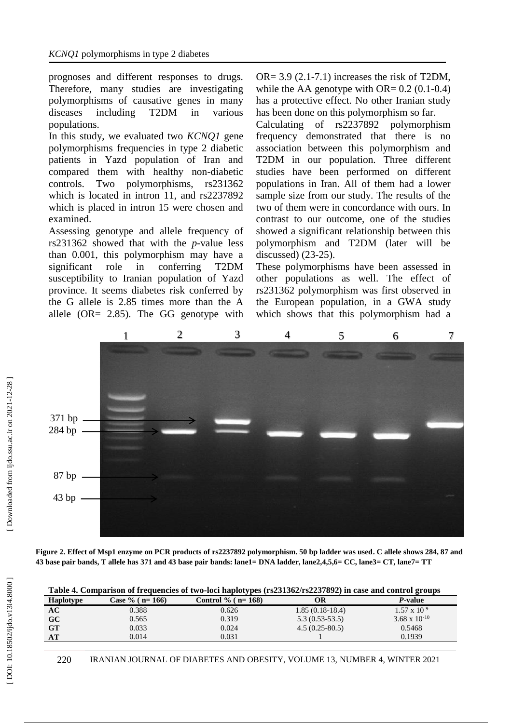prognoses and different responses to drugs. Therefore, many studies are investigating polymorphisms of causative genes in many diseases including T2DM in various populations.

In this study, we evaluated two *KCNQ1* gene polymorphisms frequencies in type 2 diabetic patients in Yazd population of Iran and compared them with healthy non -diabetic controls. Two polymorphisms, rs231362 which is located in intron 11, and rs2237892 which is placed in intron 15 were chosen and examined.

Assessing genotype and allele frequency of rs231362 showed that with the *p* -value less than 0.001, this polymorphism may have a significant role in conferring T2DM susceptibility to Iranian population of Yazd province. It seems diabetes risk conferred by the G allele is 2.85 times more than the A allele (OR= 2.85). The GG genotype with

OR=  $3.9$  (2.1-7.1) increases the risk of T2DM, while the AA genotype with  $OR = 0.2$  (0.1-0.4) has a protective effect. No other Iranian study has been done on this polymorphism so far.

Calculating of rs2237892 polymorphism frequency demonstrated that there is no association between this polymorphism and T2DM in our population. Three different studies have been performed on different populations in Iran. All of them had a lower sample size from our study. The results of the two of them were in concordance with ours. In contrast to our outcome, one of the studies showed a significant relationship between this polymorphism and T2DM (later will be discussed) (23-25).

These polymorphisms have been assessed in other populations as well. The effect of rs231362 polymorphism was first observed in the European population, in a GWA study which shows that this polymorphism had a



**Figure 2. Effect of Msp1 enzyme on PCR products of rs2237892 polymorphism. 50 bp ladder was used . C allele shows 284, 87 and 43 base pair bands, T allele has 371 and 43 base pair bands: lane1= DNA ladder, lane2,4,5,6= CC, lane3= CT, lane7= TT**

| <b>Haplotype</b> | Case % $(n=166)$ | Control % ( $n = 168$ ) | ОR                | P-value                |
|------------------|------------------|-------------------------|-------------------|------------------------|
| AC               | 0.388            | 0.626                   | $1.85(0.18-18.4)$ | $1.57 \times 10^{-9}$  |
| <b>GC</b>        | 0.565            | 0.319                   | $5.3(0.53-53.5)$  | $3.68 \times 10^{-10}$ |
| <b>GT</b>        | 0.033            | 0.024                   | $4.5(0.25-80.5)$  | 0.5468                 |
| AT               | 0.014            | 0.031                   |                   | 0.1939                 |

**Table 4. Comparison of frequencies of two -loci haplotypes (rs231362/rs2237892) in case and control groups**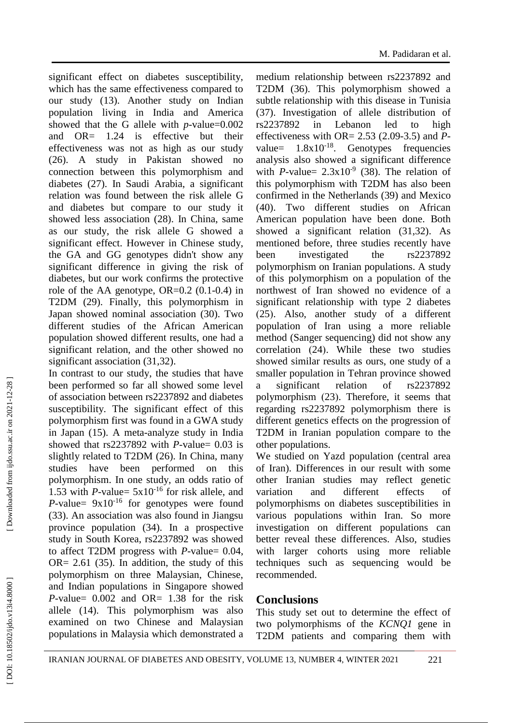significant effect on diabetes susceptibility, which has the same effectiveness compared to our study (13). Another study on Indian population living in India and America showed that the G allele with  $p$ -value= $0.002$ and OR= 1.24 is effective but their effectiveness was not as high as our study (26). A study in Pakistan showed no connection between this polymorphism and diabetes (27). In Saudi Arabia, a significant relation was found between the risk allele G and diabetes but compare to our study it showed less association (28). In China, same as our study, the risk allele G showed a significant effect. However in Chinese study, the GA and GG genotypes didn't show any significant difference in giving the risk of diabetes, but our work confirms the protective role of the AA genotype, OR=0.2 (0.1 -0.4) in T2DM (29). Finally, this polymorphism in Japan showed nominal association (30). Two different studies of the African American population showed different results, one had a significant relation, and the other showed no significant association (31,32).

In contrast to our study, the studies that have been performed so far all showed some level of association between rs2237892 and diabetes susceptibility. The significant effect of this polymorphism first was found in a GWA study in Japan (15). A meta -analyze study in India showed that  $rs2237892$  with  $P$ -value= 0.03 is slightly related to T2DM (26). In China, many studies have been performed on this polymorphism. In one study, an odds ratio of 1.53 with *P*-value=  $5x10^{-16}$  for risk allele, and *P*-value=  $9x10^{-16}$  for genotypes were found (33). An association was also found in Jiangsu province population (34). In a prospective study in South Korea, rs2237892 was showed to affect T2DM progress with *P*-value= 0.04,  $OR = 2.61$  (35). In addition, the study of this polymorphism on three Malaysian, Chinese, and Indian populations in Singapore showed  $P$ -value=  $0.002$  and OR= 1.38 for the risk allele (14). This polymorphism was also examined on two Chinese and Malaysian populations in Malaysia which demonstrated a

medium relationship between rs2237892 and T2DM (36). This polymorphism showed a subtle relationship with this disease in Tunisia (37). Investigation of allele distribution of rs2237892 in Lebanon led to high effectiveness with OR=  $2.53$  ( $2.09-3.5$ ) and Pvalue=  $1.8 \times 10^{-18}$ . Genotypes frequencies analysis also showed a significant difference with *P*-value=  $2.3 \times 10^{-9}$  (38). The relation of this polymorphism with T2DM has also been confirmed in the Netherlands (39) and Mexico (40). Two different studies on African American population have been done. Both showed a significant relation (31,32). As mentioned before, three studies recently have been investigated the rs2237892 polymorphism on Iranian populations. A study of this polymorphism on a population of the northwest of Iran showed no evidence of a significant relationship with type 2 diabetes (25). Also, another study of a different population of Iran using a more reliable method (Sanger sequencing) did not show any correlation (24). While these two studies showed similar results as ours, one study of a smaller population in Tehran province showed a significant relation of rs2237892 polymorphism (23). Therefore, it seems that regarding rs2237892 polymorphism there is different genetics effects on the progression of T2DM in Iranian population compare to the other populations.

We studied on Yazd population (central area of Iran). Differences in our result with some other Iranian studies may reflect genetic variation and different effects of polymorphisms on diabetes susceptibilities in various populations within Iran. So more investigation on different populations can better reveal these differences. Also, studies with larger cohorts using more reliable techniques such as sequencing would be recommended.

#### **Conclusions**

This study set out to determine the effect of two polymorphisms of the *KCNQ1* gene in T2DM patients and comparing them with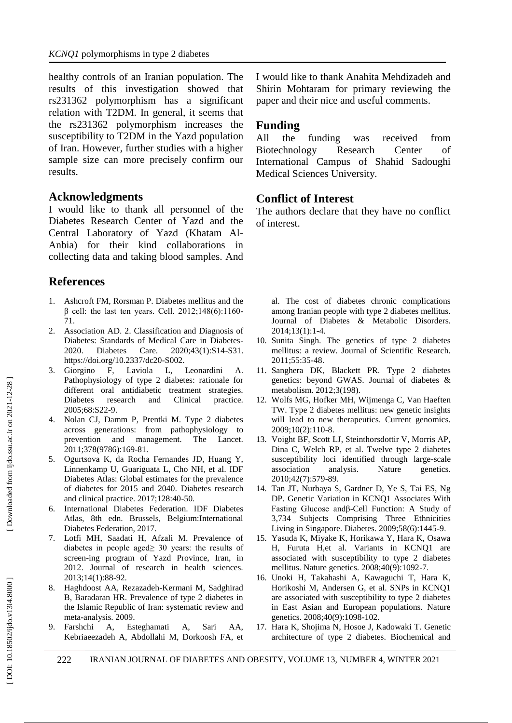healthy controls of an Iranian population. The results of this investigation showed that rs231362 polymorphism has a significant relation with T2DM. In general, it seems that the rs231362 polymorphism increases the susceptibility to T2DM in the Yazd population of Iran. However, further studies with a higher sample size can more precisely confirm our results.

### **Acknowledgments**

I would like to thank all personnel of the Diabetes Research Center of Yazd and the Central Laboratory of Yazd (Khatam Al - Anbia) for their kind collaborations in collecting data and taking blood samples. And

# **References**

- 1. Ashcroft FM, Rorsman P. Diabetes mellitus and the  $β$  cell: the last ten years. Cell. 2012;148(6):1160-71.
- 2 . Association AD. 2. Classification and Diagnosis of Diabetes: Standards of Medical Care in Diabetes - 2020. Diabetes Care. 2020;43(1):S14 -S31. https://doi.org/10.2337/dc20 -S002.
- 3 . Giorgino F, Laviola L, Leonardini A. Pathophysiology of type 2 diabetes: rationale for different oral antidiabetic treatment strategies. Diabetes research and Clinical practice. 2005;68:S22 -9.
- 4 . Nolan CJ, Damm P, Prentki M. Type 2 diabetes across generations: from pathophysiology to prevention and management. The Lancet. 2011;378(9786):169 -81.
- 5 . Ogurtsova K, da Rocha Fernandes JD, Huang Y, Linnenkamp U, Guariguata L, Cho NH, et al. IDF Diabetes Atlas: Global estimates for the prevalence of diabetes for 2015 and 2040. Diabetes research and clinical practice. 2017;128:40 -50.
- 6 . International Diabetes Federation. IDF Diabetes Atlas, 8th edn. Brussels, Belgium:International Diabetes Federation, 2017.
- 7 . Lotfi MH, Saadati H, Afzali M. Prevalence of diabetes in people aged≥ 30 years: the results of screen -ing program of Yazd Province, Iran, in 2012. Journal of research in health sciences. 2013;14(1):88 -92.
- 8. . Haghdoost AA, Rezazadeh -Kermani M, Sadghirad B, Baradaran HR. Prevalence of type 2 diabetes in the Islamic Republic of Iran: systematic review and meta -analysis. 2009.
- 9 . Farshchi A, Esteghamati A, Sari AA, Kebriaeezadeh A, Abdollahi M, Dorkoosh FA, et

I would like to thank Anahita Mehdizadeh and Shirin Mohtaram for primary reviewing the paper and their nice and useful comments.

# **Funding**

All the funding was received from Biotechnology Research Center of International Campus of Shahid Sadoughi Medical Sciences University.

# **Conflict of Interest**

The authors declare that they have no conflict of interest.

al. The cost of diabetes chronic complications among Iranian people with type 2 diabetes mellitus. Journal of Diabetes & Metabolic Disorders. 2014;13(1):1 -4.

- 10 . Sunita Singh. The genetics of type 2 diabetes mellitus: a review. Journal of Scientific Research. 2011;55:35 -48.
- 11 . Sanghera DK, Blackett PR. Type 2 diabetes genetics: beyond GWAS. Journal of diabetes & metabolism. 2012;3(198).
- 12 . Wolfs MG, Hofker MH, Wijmenga C, Van Haeften TW. Type 2 diabetes mellitus: new genetic insights will lead to new therapeutics. Current genomics. 2009;10(2):110 -8.
- 13 . Voight BF, Scott LJ, Steinthorsdottir V, Morris AP, Dina C, Welch RP, et al. Twelve type 2 diabetes susceptibility loci identified through large -scale association analysis. Nature genetics. 2010;42(7):579 -89.
- 14 . Tan JT, Nurbaya S, Gardner D, Ye S, Tai ES, Ng DP. Genetic Variation in KCNQ1 Associates With Fasting Glucose andβ -Cell Function: A Study of 3,734 Subjects Comprising Three Ethnicities Living in Singapore. Diabetes. 2009;58(6):1445 -9.
- 15 . Yasuda K, Miyake K, Horikawa Y, Hara K, Osawa H, Furuta H,et al. Variants in KCNQ1 are associated with susceptibility to type 2 diabetes mellitus. Nature genetics. 2008;40(9):1092 -7.
- 16 . Unoki H, Takahashi A, Kawaguchi T, Hara K, Horikoshi M, Andersen G, et al. SNPs in KCNQ1 are associated with susceptibility to type 2 diabetes in East Asian and European populations. Nature genetics. 2008;40(9):1098 -102.
- 17 . Hara K, Shojima N, Hosoe J, Kadowaki T. Genetic architecture of type 2 diabetes. Biochemical and